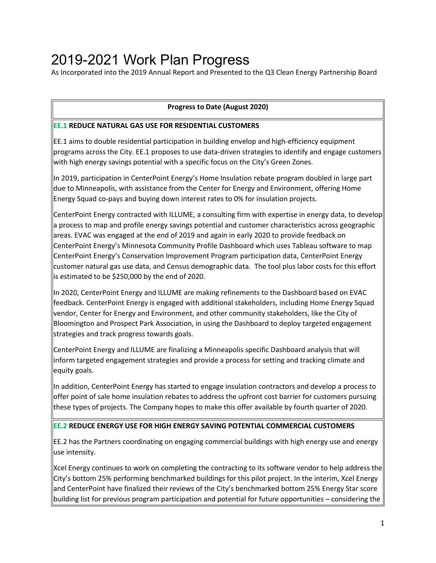# 2019-2021 Work Plan Progress

As Incorporated into the 2019 Annual Report and Presented to the Q3 Clean Energy Partnership Board

### **Progress to Date (August 2020)**

#### **EE.1 REDUCE NATURAL GAS USE FOR RESIDENTIAL CUSTOMERS**

EE.1 aims to double residential participation in building envelop and high-efficiency equipment programs across the City. EE.1 proposes to use data-driven strategies to identify and engage customers with high energy savings potential with a specific focus on the City's Green Zones.

In 2019, participation in CenterPoint Energy's Home Insulation rebate program doubled in large part due to Minneapolis, with assistance from the Center for Energy and Environment, offering Home Energy Squad co-pays and buying down interest rates to 0% for insulation projects.

CenterPoint Energy contracted with ILLUME, a consulting firm with expertise in energy data, to develop a process to map and profile energy savings potential and customer characteristics across geographic areas. EVAC was engaged at the end of 2019 and again in early 2020 to provide feedback on CenterPoint Energy's Minnesota Community Profile Dashboard which uses Tableau software to map CenterPoint Energy's Conservation Improvement Program participation data, CenterPoint Energy customer natural gas use data, and Census demographic data. The tool plus labor costs for this effort is estimated to be \$250,000 by the end of 2020.

In 2020, CenterPoint Energy and ILLUME are making refinements to the Dashboard based on EVAC feedback. CenterPoint Energy is engaged with additional stakeholders, including Home Energy Squad vendor, Center for Energy and Environment, and other community stakeholders, like the City of Bloomington and Prospect Park Association, in using the Dashboard to deploy targeted engagement strategies and track progress towards goals.

CenterPoint Energy and ILLUME are finalizing a Minneapolis specific Dashboard analysis that will inform targeted engagement strategies and provide a process for setting and tracking climate and equity goals.

In addition, CenterPoint Energy has started to engage insulation contractors and develop a process to offer point of sale home insulation rebates to address the upfront cost barrier for customers pursuing these types of projects. The Company hopes to make this offer available by fourth quarter of 2020.

### **EE.2 REDUCE ENERGY USE FOR HIGH ENERGY SAVING POTENTIAL COMMERCIAL CUSTOMERS**

EE.2 has the Partners coordinating on engaging commercial buildings with high energy use and energy use intensity.

Xcel Energy continues to work on completing the contracting to its software vendor to help address the City's bottom 25% performing benchmarked buildings for this pilot project. In the interim, Xcel Energy and CenterPoint have finalized their reviews of the City's benchmarked bottom 25% Energy Star score building list for previous program participation and potential for future opportunities – considering the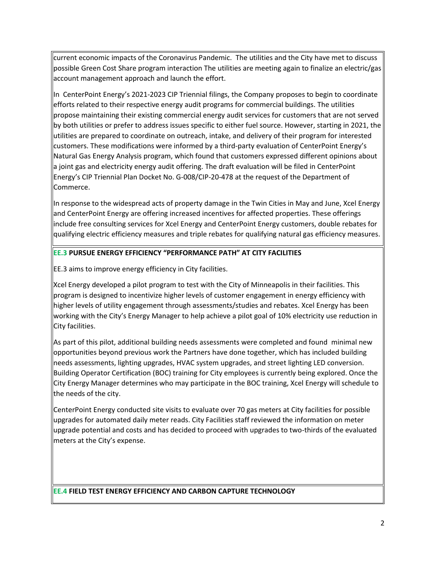current economic impacts of the Coronavirus Pandemic. The utilities and the City have met to discuss possible Green Cost Share program interaction The utilities are meeting again to finalize an electric/gas account management approach and launch the effort.

In CenterPoint Energy's 2021-2023 CIP Triennial filings, the Company proposes to begin to coordinate efforts related to their respective energy audit programs for commercial buildings. The utilities propose maintaining their existing commercial energy audit services for customers that are not served by both utilities or prefer to address issues specific to either fuel source. However, starting in 2021, the utilities are prepared to coordinate on outreach, intake, and delivery of their program for interested customers. These modifications were informed by a third-party evaluation of CenterPoint Energy's Natural Gas Energy Analysis program, which found that customers expressed different opinions about a joint gas and electricity energy audit offering. The draft evaluation will be filed in CenterPoint Energy's CIP Triennial Plan Docket No. G-008/CIP-20-478 at the request of the Department of Commerce.

In response to the widespread acts of property damage in the Twin Cities in May and June, Xcel Energy and CenterPoint Energy are offering increased incentives for affected properties. These offerings include free consulting services for Xcel Energy and CenterPoint Energy customers, double rebates for qualifying electric efficiency measures and triple rebates for qualifying natural gas efficiency measures.

#### **EE.3 PURSUE ENERGY EFFICIENCY "PERFORMANCE PATH" AT CITY FACILITIES**

EE.3 aims to improve energy efficiency in City facilities.

Xcel Energy developed a pilot program to test with the City of Minneapolis in their facilities. This program is designed to incentivize higher levels of customer engagement in energy efficiency with higher levels of utility engagement through assessments/studies and rebates. Xcel Energy has been working with the City's Energy Manager to help achieve a pilot goal of 10% electricity use reduction in City facilities.

As part of this pilot, additional building needs assessments were completed and found minimal new opportunities beyond previous work the Partners have done together, which has included building needs assessments, lighting upgrades, HVAC system upgrades, and street lighting LED conversion. Building Operator Certification (BOC) training for City employees is currently being explored. Once the City Energy Manager determines who may participate in the BOC training, Xcel Energy will schedule to the needs of the city.

CenterPoint Energy conducted site visits to evaluate over 70 gas meters at City facilities for possible upgrades for automated daily meter reads. City Facilities staff reviewed the information on meter upgrade potential and costs and has decided to proceed with upgrades to two-thirds of the evaluated meters at the City's expense.

**EE.4 FIELD TEST ENERGY EFFICIENCY AND CARBON CAPTURE TECHNOLOGY**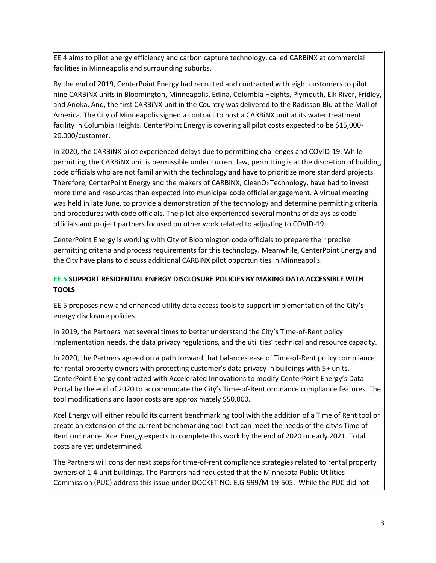EE.4 aims to pilot energy efficiency and carbon capture technology, called CARBiNX at commercial facilities in Minneapolis and surrounding suburbs.

By the end of 2019, CenterPoint Energy had recruited and contracted with eight customers to pilot nine CARBiNX units in Bloomington, Minneapolis, Edina, Columbia Heights, Plymouth, Elk River, Fridley, and Anoka. And, the first CARBiNX unit in the Country was delivered to the Radisson Blu at the Mall of America. The City of Minneapolis signed a contract to host a CARBiNX unit at its water treatment facility in Columbia Heights. CenterPoint Energy is covering all pilot costs expected to be \$15,000- 20,000/customer.

In 2020, the CARBiNX pilot experienced delays due to permitting challenges and COVID-19. While permitting the CARBiNX unit is permissible under current law, permitting is at the discretion of building code officials who are not familiar with the technology and have to prioritize more standard projects. Therefore, CenterPoint Energy and the makers of CARBINX, CleanO<sub>2</sub> Technology, have had to invest more time and resources than expected into municipal code official engagement. A virtual meeting was held in late June, to provide a demonstration of the technology and determine permitting criteria and procedures with code officials. The pilot also experienced several months of delays as code officials and project partners focused on other work related to adjusting to COVID-19.

CenterPoint Energy is working with City of Bloomington code officials to prepare their precise permitting criteria and process requirements for this technology. Meanwhile, CenterPoint Energy and the City have plans to discuss additional CARBiNX pilot opportunities in Minneapolis.

## **EE.5 SUPPORT RESIDENTIAL ENERGY DISCLOSURE POLICIES BY MAKING DATA ACCESSIBLE WITH TOOLS**

EE.5 proposes new and enhanced utility data access tools to support implementation of the City's energy disclosure policies.

In 2019, the Partners met several times to better understand the City's Time-of-Rent policy implementation needs, the data privacy regulations, and the utilities' technical and resource capacity.

In 2020, the Partners agreed on a path forward that balances ease of Time-of-Rent policy compliance for rental property owners with protecting customer's data privacy in buildings with 5+ units. CenterPoint Energy contracted with Accelerated Innovations to modify CenterPoint Energy's Data Portal by the end of 2020 to accommodate the City's Time-of-Rent ordinance compliance features. The tool modifications and labor costs are approximately \$50,000.

Xcel Energy will either rebuild its current benchmarking tool with the addition of a Time of Rent tool or create an extension of the current benchmarking tool that can meet the needs of the city's Time of Rent ordinance. Xcel Energy expects to complete this work by the end of 2020 or early 2021. Total costs are yet undetermined.

The Partners will consider next steps for time-of-rent compliance strategies related to rental property owners of 1-4 unit buildings. The Partners had requested that the Minnesota Public Utilities Commission (PUC) address this issue under DOCKET NO. E,G-999/M-19-505. While the PUC did not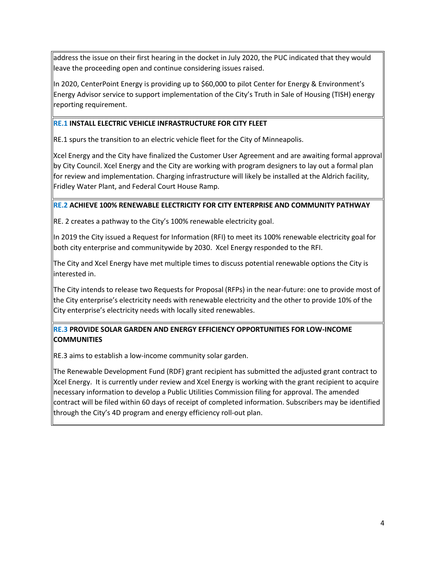address the issue on their first hearing in the docket in July 2020, the PUC indicated that they would leave the proceeding open and continue considering issues raised.

In 2020, CenterPoint Energy is providing up to \$60,000 to pilot Center for Energy & Environment's Energy Advisor service to support implementation of the City's Truth in Sale of Housing (TISH) energy reporting requirement.

#### **RE.1 INSTALL ELECTRIC VEHICLE INFRASTRUCTURE FOR CITY FLEET**

RE.1 spurs the transition to an electric vehicle fleet for the City of Minneapolis.

Xcel Energy and the City have finalized the Customer User Agreement and are awaiting formal approval by City Council. Xcel Energy and the City are working with program designers to lay out a formal plan for review and implementation. Charging infrastructure will likely be installed at the Aldrich facility, Fridley Water Plant, and Federal Court House Ramp.

#### **RE.2 ACHIEVE 100% RENEWABLE ELECTRICITY FOR CITY ENTERPRISE AND COMMUNITY PATHWAY**

RE. 2 creates a pathway to the City's 100% renewable electricity goal.

In 2019 the City issued a Request for Information (RFI) to meet its 100% renewable electricity goal for both city enterprise and communitywide by 2030. Xcel Energy responded to the RFI.

The City and Xcel Energy have met multiple times to discuss potential renewable options the City is interested in.

The City intends to release two Requests for Proposal (RFPs) in the near-future: one to provide most of the City enterprise's electricity needs with renewable electricity and the other to provide 10% of the City enterprise's electricity needs with locally sited renewables.

## **RE.3 PROVIDE SOLAR GARDEN AND ENERGY EFFICIENCY OPPORTUNITIES FOR LOW-INCOME COMMUNITIES**

RE.3 aims to establish a low-income community solar garden.

The Renewable Development Fund (RDF) grant recipient has submitted the adjusted grant contract to Xcel Energy. It is currently under review and Xcel Energy is working with the grant recipient to acquire necessary information to develop a Public Utilities Commission filing for approval. The amended contract will be filed within 60 days of receipt of completed information. Subscribers may be identified through the City's 4D program and energy efficiency roll-out plan.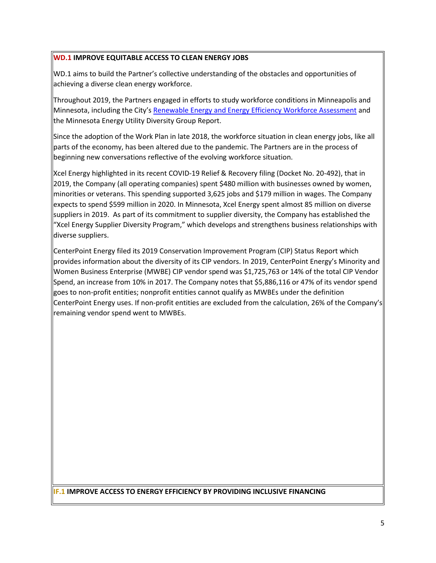#### **WD.1 IMPROVE EQUITABLE ACCESS TO CLEAN ENERGY JOBS**

WD.1 aims to build the Partner's collective understanding of the obstacles and opportunities of achieving a diverse clean energy workforce.

Throughout 2019, the Partners engaged in efforts to study workforce conditions in Minneapolis and Minnesota, including the City's [Renewable Energy and Energy Efficiency Workforce Assessment](https://mplscleanenergypartnership.org/wp-content/uploads/2019/09/Minneapolis-Workforce-Development-Assessment.pdf) and the Minnesota Energy Utility Diversity Group Report.

Since the adoption of the Work Plan in late 2018, the workforce situation in clean energy jobs, like all parts of the economy, has been altered due to the pandemic. The Partners are in the process of beginning new conversations reflective of the evolving workforce situation.

Xcel Energy highlighted in its recent COVID-19 Relief & Recovery filing (Docket No. 20-492), that in 2019, the Company (all operating companies) spent \$480 million with businesses owned by women, minorities or veterans. This spending supported 3,625 jobs and \$179 million in wages. The Company expects to spend \$599 million in 2020. In Minnesota, Xcel Energy spent almost 85 million on diverse suppliers in 2019. As part of its commitment to supplier diversity, the Company has established the "Xcel Energy Supplier Diversity Program," which develops and strengthens business relationships with diverse suppliers.

CenterPoint Energy filed its 2019 Conservation Improvement Program (CIP) Status Report which provides information about the diversity of its CIP vendors. In 2019, CenterPoint Energy's Minority and Women Business Enterprise (MWBE) CIP vendor spend was \$1,725,763 or 14% of the total CIP Vendor Spend, an increase from 10% in 2017. The Company notes that \$5,886,116 or 47% of its vendor spend goes to non-profit entities; nonprofit entities cannot qualify as MWBEs under the definition CenterPoint Energy uses. If non-profit entities are excluded from the calculation, 26% of the Company's remaining vendor spend went to MWBEs.

### **IF.1 IMPROVE ACCESS TO ENERGY EFFICIENCY BY PROVIDING INCLUSIVE FINANCING**